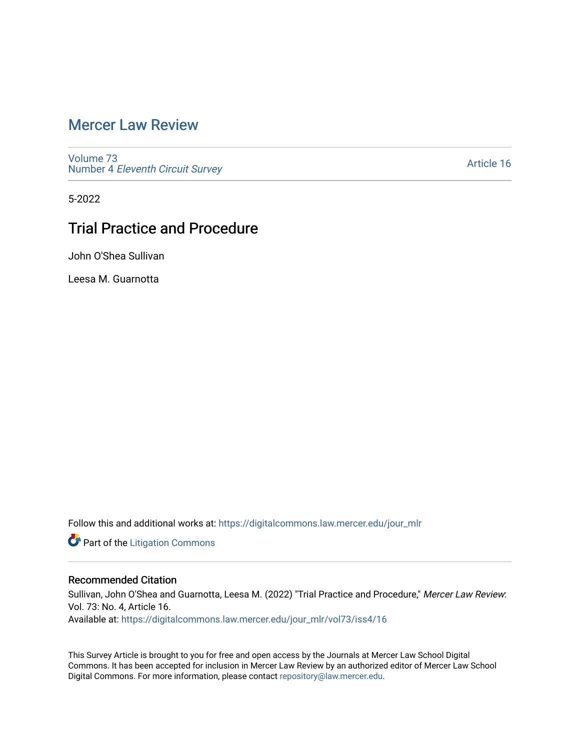## [Mercer Law Review](https://digitalcommons.law.mercer.edu/jour_mlr)

[Volume 73](https://digitalcommons.law.mercer.edu/jour_mlr/vol73) Number 4 [Eleventh Circuit Survey](https://digitalcommons.law.mercer.edu/jour_mlr/vol73/iss4) 

[Article 16](https://digitalcommons.law.mercer.edu/jour_mlr/vol73/iss4/16) 

5-2022

## Trial Practice and Procedure

John O'Shea Sullivan

Leesa M. Guarnotta

Follow this and additional works at: [https://digitalcommons.law.mercer.edu/jour\\_mlr](https://digitalcommons.law.mercer.edu/jour_mlr?utm_source=digitalcommons.law.mercer.edu%2Fjour_mlr%2Fvol73%2Fiss4%2F16&utm_medium=PDF&utm_campaign=PDFCoverPages)

**Part of the [Litigation Commons](https://network.bepress.com/hgg/discipline/910?utm_source=digitalcommons.law.mercer.edu%2Fjour_mlr%2Fvol73%2Fiss4%2F16&utm_medium=PDF&utm_campaign=PDFCoverPages)** 

## Recommended Citation

Sullivan, John O'Shea and Guarnotta, Leesa M. (2022) "Trial Practice and Procedure," Mercer Law Review: Vol. 73: No. 4, Article 16. Available at: [https://digitalcommons.law.mercer.edu/jour\\_mlr/vol73/iss4/16](https://digitalcommons.law.mercer.edu/jour_mlr/vol73/iss4/16?utm_source=digitalcommons.law.mercer.edu%2Fjour_mlr%2Fvol73%2Fiss4%2F16&utm_medium=PDF&utm_campaign=PDFCoverPages) 

This Survey Article is brought to you for free and open access by the Journals at Mercer Law School Digital Commons. It has been accepted for inclusion in Mercer Law Review by an authorized editor of Mercer Law School Digital Commons. For more information, please contact [repository@law.mercer.edu](mailto:repository@law.mercer.edu).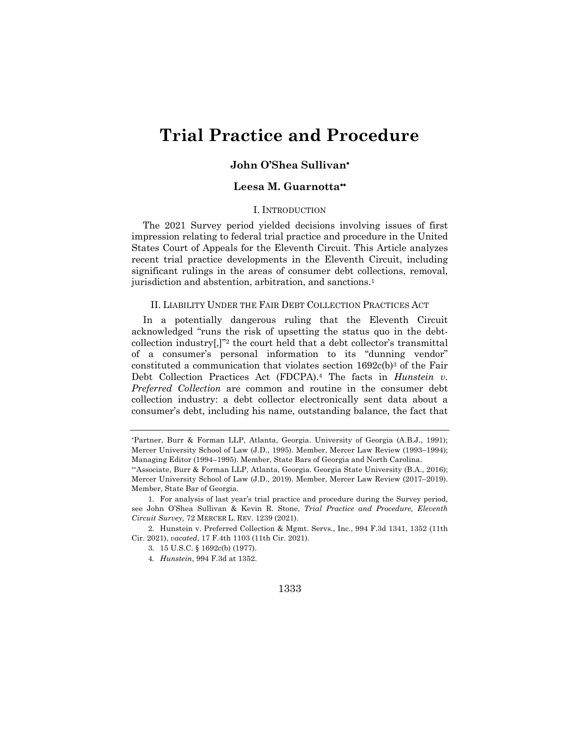# **Trial Practice and Procedure**

## **John O'Shea Sullivan**\*

## **Leesa M. Guarnotta**\*\*

### I. INTRODUCTION

The 2021 Survey period yielded decisions involving issues of first impression relating to federal trial practice and procedure in the United States Court of Appeals for the Eleventh Circuit. This Article analyzes recent trial practice developments in the Eleventh Circuit, including significant rulings in the areas of consumer debt collections, removal, jurisdiction and abstention, arbitration, and sanctions.1

#### II. LIABILITY UNDER THE FAIR DEBT COLLECTION PRACTICES ACT

In a potentially dangerous ruling that the Eleventh Circuit acknowledged "runs the risk of upsetting the status quo in the debtcollection industry[,]"2 the court held that a debt collector's transmittal of a consumer's personal information to its "dunning vendor" constituted a communication that violates section  $1692c(b)<sup>3</sup>$  of the Fair Debt Collection Practices Act (FDCPA).4 The facts in *Hunstein v. Preferred Collection* are common and routine in the consumer debt collection industry: a debt collector electronically sent data about a consumer's debt, including his name, outstanding balance, the fact that

2. Hunstein v. Preferred Collection & Mgmt. Servs., Inc., 994 F.3d 1341, 1352 (11th Cir. 2021), *vacated*, 17 F.4th 1103 (11th Cir. 2021).

#### 1333

<sup>\*</sup> Partner, Burr & Forman LLP, Atlanta, Georgia. University of Georgia (A.B.J., 1991); Mercer University School of Law (J.D., 1995). Member, Mercer Law Review (1993–1994); Managing Editor (1994–1995). Member, State Bars of Georgia and North Carolina.

<sup>\*\*</sup> Associate, Burr & Forman LLP, Atlanta, Georgia. Georgia State University (B.A., 2016); Mercer University School of Law (J.D., 2019). Member, Mercer Law Review (2017–2019). Member, State Bar of Georgia.

<sup>1.</sup> For analysis of last year's trial practice and procedure during the Survey period, see John O'Shea Sullivan & Kevin R. Stone, *Trial Practice and Procedure, Eleventh Circuit Survey,* 72 MERCER L. REV. 1239 (2021).

<sup>3.</sup> 15 U.S.C. § 1692c(b) (1977).

<sup>4</sup>*. Hunstein*, 994 F.3d at 1352.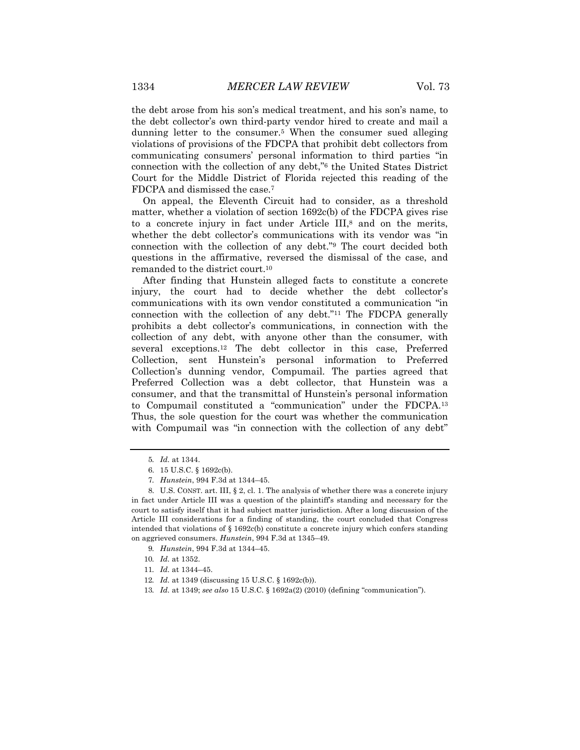the debt arose from his son's medical treatment, and his son's name, to the debt collector's own third-party vendor hired to create and mail a dunning letter to the consumer.5 When the consumer sued alleging violations of provisions of the FDCPA that prohibit debt collectors from communicating consumers' personal information to third parties "in connection with the collection of any debt,"6 the United States District Court for the Middle District of Florida rejected this reading of the FDCPA and dismissed the case.7

On appeal, the Eleventh Circuit had to consider, as a threshold matter, whether a violation of section 1692c(b) of the FDCPA gives rise to a concrete injury in fact under Article III,<sup>8</sup> and on the merits, whether the debt collector's communications with its vendor was "in connection with the collection of any debt."9 The court decided both questions in the affirmative, reversed the dismissal of the case, and remanded to the district court.10

After finding that Hunstein alleged facts to constitute a concrete injury, the court had to decide whether the debt collector's communications with its own vendor constituted a communication "in connection with the collection of any debt."11 The FDCPA generally prohibits a debt collector's communications, in connection with the collection of any debt, with anyone other than the consumer, with several exceptions.12 The debt collector in this case, Preferred Collection, sent Hunstein's personal information to Preferred Collection's dunning vendor, Compumail. The parties agreed that Preferred Collection was a debt collector, that Hunstein was a consumer, and that the transmittal of Hunstein's personal information to Compumail constituted a "communication" under the FDCPA.13 Thus, the sole question for the court was whether the communication with Compumail was "in connection with the collection of any debt"

- 12*. Id.* at 1349 (discussing 15 U.S.C. § 1692c(b)).
- 13*. Id.* at 1349; *see also* 15 U.S.C. § 1692a(2) (2010) (defining "communication").

<sup>5</sup>*. Id.* at 1344.

<sup>6.</sup> 15 U.S.C. § 1692c(b).

<sup>7</sup>*. Hunstein*, 994 F.3d at 1344–45.

<sup>8.</sup> U.S. CONST. art. III, § 2, cl. 1. The analysis of whether there was a concrete injury in fact under Article III was a question of the plaintiff's standing and necessary for the court to satisfy itself that it had subject matter jurisdiction. After a long discussion of the Article III considerations for a finding of standing, the court concluded that Congress intended that violations of  $\S 1692c(b)$  constitute a concrete injury which confers standing on aggrieved consumers. *Hunstein*, 994 F.3d at 1345–49.

<sup>9</sup>*. Hunstein*, 994 F.3d at 1344–45.

<sup>10</sup>*. Id.* at 1352.

<sup>11</sup>*. Id.* at 1344–45.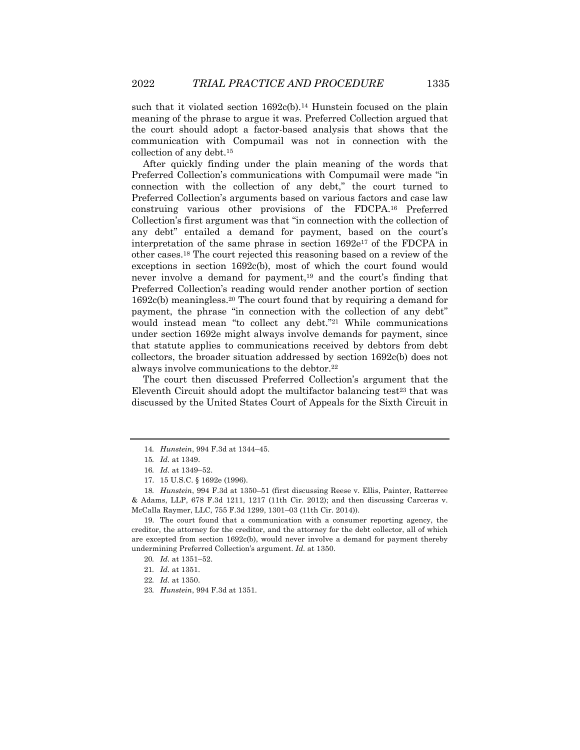such that it violated section  $1692c(b)$ .<sup>14</sup> Hunstein focused on the plain meaning of the phrase to argue it was. Preferred Collection argued that the court should adopt a factor-based analysis that shows that the communication with Compumail was not in connection with the collection of any debt.15

After quickly finding under the plain meaning of the words that Preferred Collection's communications with Compumail were made "in connection with the collection of any debt," the court turned to Preferred Collection's arguments based on various factors and case law construing various other provisions of the FDCPA.16 Preferred Collection's first argument was that "in connection with the collection of any debt" entailed a demand for payment, based on the court's interpretation of the same phrase in section 1692e<sup>17</sup> of the FDCPA in other cases.18 The court rejected this reasoning based on a review of the exceptions in section 1692c(b), most of which the court found would never involve a demand for payment,19 and the court's finding that Preferred Collection's reading would render another portion of section 1692c(b) meaningless.20 The court found that by requiring a demand for payment, the phrase "in connection with the collection of any debt" would instead mean "to collect any debt."21 While communications under section 1692e might always involve demands for payment, since that statute applies to communications received by debtors from debt collectors, the broader situation addressed by section 1692c(b) does not always involve communications to the debtor.22

The court then discussed Preferred Collection's argument that the Eleventh Circuit should adopt the multifactor balancing test $23$  that was discussed by the United States Court of Appeals for the Sixth Circuit in

<sup>14</sup>*. Hunstein*, 994 F.3d at 1344–45.

<sup>15</sup>*. Id.* at 1349.

<sup>16</sup>*. Id.* at 1349–52.

<sup>17.</sup> 15 U.S.C. § 1692e (1996).

<sup>18</sup>*. Hunstein*, 994 F.3d at 1350–51 (first discussing Reese v. Ellis, Painter, Ratterree & Adams, LLP, 678 F.3d 1211, 1217 (11th Cir. 2012); and then discussing Carceras v. McCalla Raymer, LLC, 755 F.3d 1299, 1301–03 (11th Cir. 2014)).

<sup>19.</sup> The court found that a communication with a consumer reporting agency, the creditor, the attorney for the creditor, and the attorney for the debt collector, all of which are excepted from section 1692c(b), would never involve a demand for payment thereby undermining Preferred Collection's argument. *Id.* at 1350.

<sup>20</sup>*. Id.* at 1351–52.

<sup>21</sup>*. Id.* at 1351.

<sup>22</sup>*. Id.* at 1350.

<sup>23</sup>*. Hunstein*, 994 F.3d at 1351.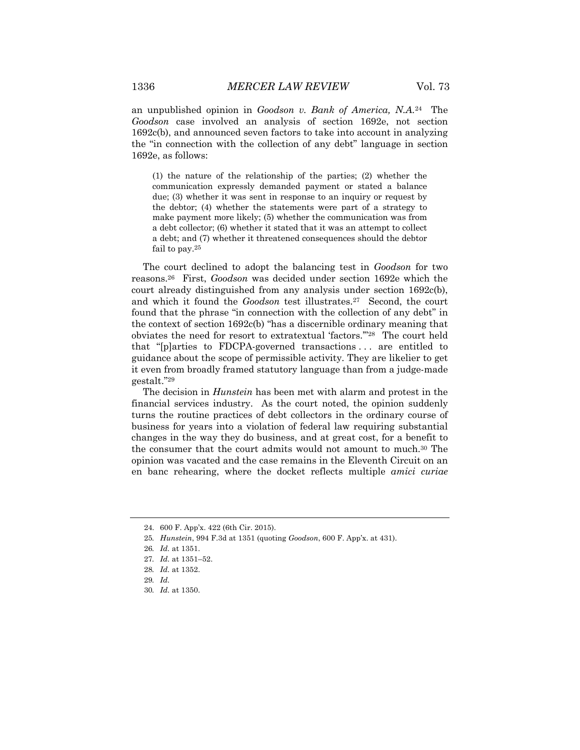an unpublished opinion in *Goodson v. Bank of America, N.A.*24 The *Goodson* case involved an analysis of section 1692e, not section 1692c(b), and announced seven factors to take into account in analyzing the "in connection with the collection of any debt" language in section 1692e, as follows:

(1) the nature of the relationship of the parties; (2) whether the communication expressly demanded payment or stated a balance due; (3) whether it was sent in response to an inquiry or request by the debtor; (4) whether the statements were part of a strategy to make payment more likely; (5) whether the communication was from a debt collector; (6) whether it stated that it was an attempt to collect a debt; and (7) whether it threatened consequences should the debtor fail to pay.25

The court declined to adopt the balancing test in *Goodson* for two reasons.26 First, *Goodson* was decided under section 1692e which the court already distinguished from any analysis under section 1692c(b), and which it found the *Goodson* test illustrates.<sup>27</sup> Second, the court found that the phrase "in connection with the collection of any debt" in the context of section 1692c(b) "has a discernible ordinary meaning that obviates the need for resort to extratextual 'factors.'"28 The court held that "[p]arties to FDCPA-governed transactions . . . are entitled to guidance about the scope of permissible activity. They are likelier to get it even from broadly framed statutory language than from a judge-made gestalt."29

The decision in *Hunstein* has been met with alarm and protest in the financial services industry. As the court noted, the opinion suddenly turns the routine practices of debt collectors in the ordinary course of business for years into a violation of federal law requiring substantial changes in the way they do business, and at great cost, for a benefit to the consumer that the court admits would not amount to much.30 The opinion was vacated and the case remains in the Eleventh Circuit on an en banc rehearing, where the docket reflects multiple *amici curiae*

<sup>24.</sup> 600 F. App'x. 422 (6th Cir. 2015).

<sup>25</sup>*. Hunstein*, 994 F.3d at 1351 (quoting *Goodson*, 600 F. App'x. at 431).

<sup>26</sup>*. Id.* at 1351.

<sup>27</sup>*. Id.* at 1351–52.

<sup>28</sup>*. Id.* at 1352.

<sup>29</sup>*. Id.*

<sup>30</sup>*. Id.* at 1350.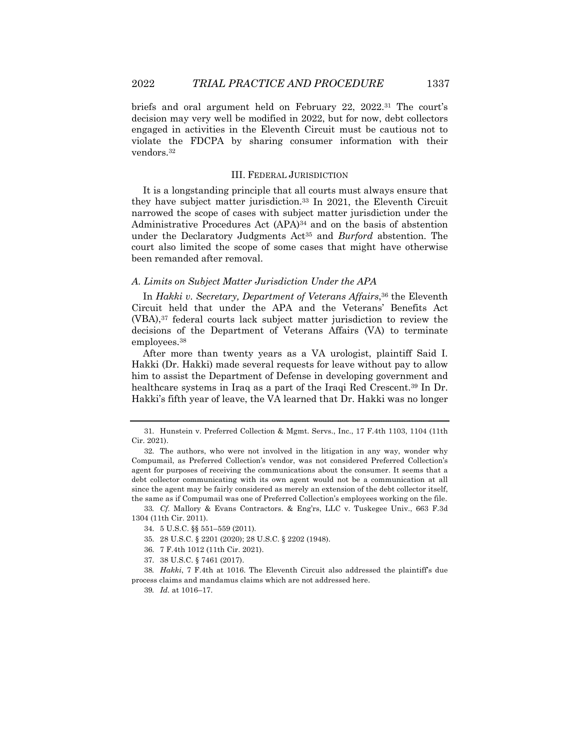briefs and oral argument held on February 22, 2022.31 The court's decision may very well be modified in 2022, but for now, debt collectors engaged in activities in the Eleventh Circuit must be cautious not to violate the FDCPA by sharing consumer information with their vendors.32

#### III. FEDERAL JURISDICTION

It is a longstanding principle that all courts must always ensure that they have subject matter jurisdiction.33 In 2021, the Eleventh Circuit narrowed the scope of cases with subject matter jurisdiction under the Administrative Procedures Act (APA)34 and on the basis of abstention under the Declaratory Judgments Act35 and *Burford* abstention. The court also limited the scope of some cases that might have otherwise been remanded after removal.

## *A. Limits on Subject Matter Jurisdiction Under the APA*

In *Hakki v. Secretary, Department of Veterans Affairs*,36 the Eleventh Circuit held that under the APA and the Veterans' Benefits Act (VBA),37 federal courts lack subject matter jurisdiction to review the decisions of the Department of Veterans Affairs (VA) to terminate employees.38

After more than twenty years as a VA urologist, plaintiff Said I. Hakki (Dr. Hakki) made several requests for leave without pay to allow him to assist the Department of Defense in developing government and healthcare systems in Iraq as a part of the Iraqi Red Crescent.39 In Dr. Hakki's fifth year of leave, the VA learned that Dr. Hakki was no longer

33*. Cf.* Mallory & Evans Contractors. & Eng'rs, LLC v. Tuskegee Univ., 663 F.3d 1304 (11th Cir. 2011).

37. 38 U.S.C. § 7461 (2017).

<sup>31.</sup> Hunstein v. Preferred Collection & Mgmt. Servs., Inc., 17 F.4th 1103, 1104 (11th Cir. 2021).

<sup>32.</sup> The authors, who were not involved in the litigation in any way, wonder why Compumail, as Preferred Collection's vendor, was not considered Preferred Collection's agent for purposes of receiving the communications about the consumer. It seems that a debt collector communicating with its own agent would not be a communication at all since the agent may be fairly considered as merely an extension of the debt collector itself, the same as if Compumail was one of Preferred Collection's employees working on the file.

<sup>34.</sup> 5 U.S.C. §§ 551–559 (2011)*.*

<sup>35.</sup> 28 U.S.C. § 2201 (2020); 28 U.S.C. § 2202 (1948).

<sup>36.</sup> 7 F.4th 1012 (11th Cir. 2021).

<sup>38</sup>*. Hakki*, 7 F.4th at 1016. The Eleventh Circuit also addressed the plaintiff's due process claims and mandamus claims which are not addressed here.

<sup>39</sup>*. Id.* at 1016–17.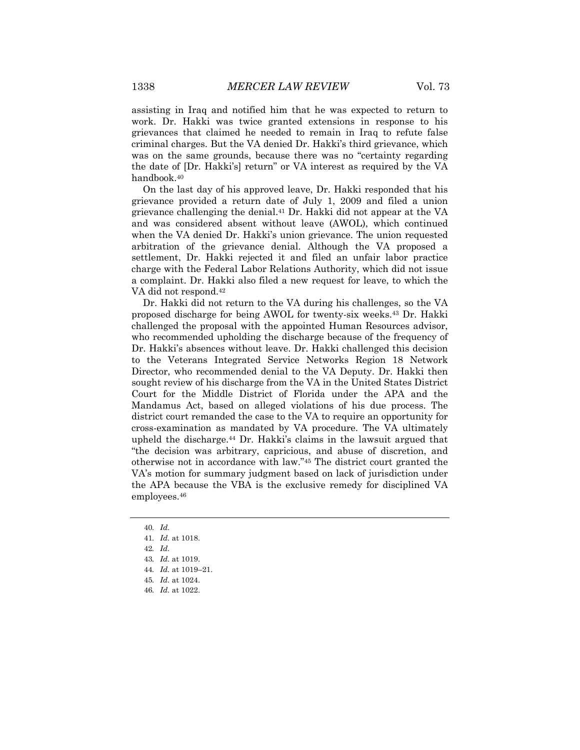assisting in Iraq and notified him that he was expected to return to work. Dr. Hakki was twice granted extensions in response to his grievances that claimed he needed to remain in Iraq to refute false criminal charges. But the VA denied Dr. Hakki's third grievance, which was on the same grounds, because there was no "certainty regarding the date of [Dr. Hakki's] return" or VA interest as required by the VA handbook.40

On the last day of his approved leave, Dr. Hakki responded that his grievance provided a return date of July 1, 2009 and filed a union grievance challenging the denial.41 Dr. Hakki did not appear at the VA and was considered absent without leave (AWOL), which continued when the VA denied Dr. Hakki's union grievance. The union requested arbitration of the grievance denial. Although the VA proposed a settlement, Dr. Hakki rejected it and filed an unfair labor practice charge with the Federal Labor Relations Authority, which did not issue a complaint. Dr. Hakki also filed a new request for leave, to which the VA did not respond.42

Dr. Hakki did not return to the VA during his challenges, so the VA proposed discharge for being AWOL for twenty-six weeks.43 Dr. Hakki challenged the proposal with the appointed Human Resources advisor, who recommended upholding the discharge because of the frequency of Dr. Hakki's absences without leave. Dr. Hakki challenged this decision to the Veterans Integrated Service Networks Region 18 Network Director, who recommended denial to the VA Deputy. Dr. Hakki then sought review of his discharge from the VA in the United States District Court for the Middle District of Florida under the APA and the Mandamus Act, based on alleged violations of his due process. The district court remanded the case to the VA to require an opportunity for cross-examination as mandated by VA procedure. The VA ultimately upheld the discharge.44 Dr. Hakki's claims in the lawsuit argued that "the decision was arbitrary, capricious, and abuse of discretion, and otherwise not in accordance with law."45 The district court granted the VA's motion for summary judgment based on lack of jurisdiction under the APA because the VBA is the exclusive remedy for disciplined VA employees.46

<sup>40</sup>*. Id.*

<sup>41</sup>*. Id.* at 1018.

<sup>42</sup>*. Id.*

<sup>43</sup>*. Id.* at 1019.

<sup>44</sup>*. Id.* at 1019–21.

<sup>45</sup>*. Id.* at 1024.

<sup>46</sup>*. Id.* at 1022.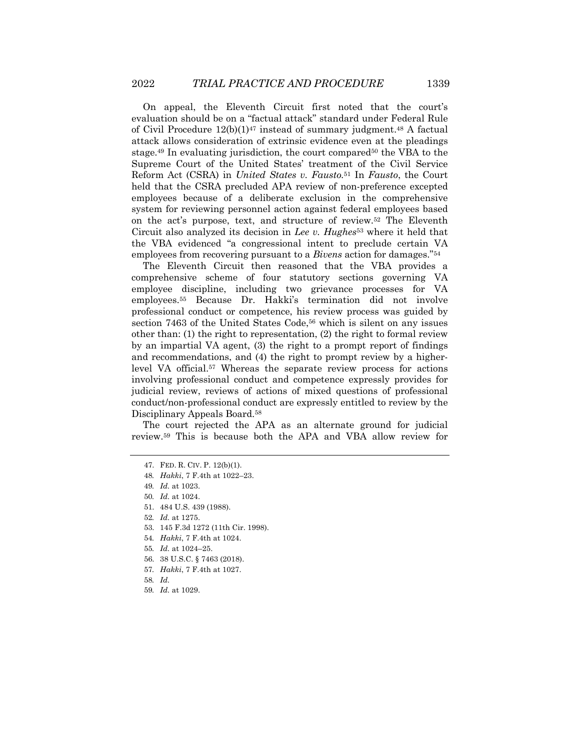On appeal, the Eleventh Circuit first noted that the court's evaluation should be on a "factual attack" standard under Federal Rule of Civil Procedure  $12(b)(1)^{47}$  instead of summary judgment.<sup>48</sup> A factual attack allows consideration of extrinsic evidence even at the pleadings stage.<sup>49</sup> In evaluating jurisdiction, the court compared<sup>50</sup> the VBA to the Supreme Court of the United States' treatment of the Civil Service Reform Act (CSRA) in *United States v. Fausto.*<sup>51</sup> In *Fausto*, the Court held that the CSRA precluded APA review of non-preference excepted employees because of a deliberate exclusion in the comprehensive system for reviewing personnel action against federal employees based on the act's purpose, text, and structure of review.52 The Eleventh Circuit also analyzed its decision in *Lee v. Hughes*<sup>53</sup> where it held that the VBA evidenced "a congressional intent to preclude certain VA employees from recovering pursuant to a *Bivens* action for damages."54

The Eleventh Circuit then reasoned that the VBA provides a comprehensive scheme of four statutory sections governing VA employee discipline, including two grievance processes for VA employees.55 Because Dr. Hakki's termination did not involve professional conduct or competence, his review process was guided by section 7463 of the United States Code,<sup>56</sup> which is silent on any issues other than: (1) the right to representation, (2) the right to formal review by an impartial VA agent, (3) the right to a prompt report of findings and recommendations, and (4) the right to prompt review by a higherlevel VA official.57 Whereas the separate review process for actions involving professional conduct and competence expressly provides for judicial review, reviews of actions of mixed questions of professional conduct/non-professional conduct are expressly entitled to review by the Disciplinary Appeals Board.58

The court rejected the APA as an alternate ground for judicial review.59 This is because both the APA and VBA allow review for

- 52*. Id.* at 1275.
- 53. 145 F.3d 1272 (11th Cir. 1998).
- 54*. Hakki*, 7 F.4th at 1024.
- 55*. Id.* at 1024–25.
- 56. 38 U.S.C. § 7463 (2018).
- 57*. Hakki*, 7 F.4th at 1027.
- 58*. Id.*
- 59*. Id.* at 1029.

<sup>47.</sup> FED. R. CIV. P. 12(b)(1).

<sup>48</sup>*. Hakki*, 7 F.4th at 1022–23.

<sup>49</sup>*. Id.* at 1023.

<sup>50</sup>*. Id.* at 1024.

<sup>51.</sup> 484 U.S. 439 (1988).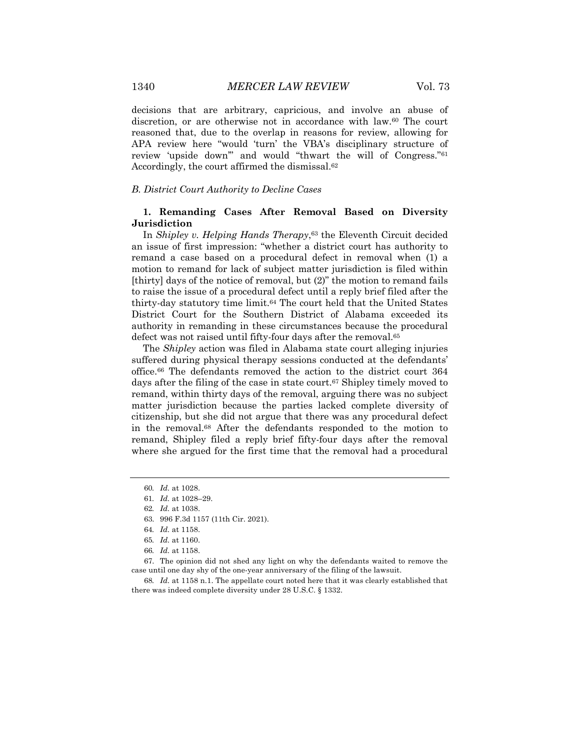decisions that are arbitrary, capricious, and involve an abuse of discretion, or are otherwise not in accordance with law.60 The court reasoned that, due to the overlap in reasons for review, allowing for APA review here "would 'turn' the VBA's disciplinary structure of review 'upside down'" and would "thwart the will of Congress."61 Accordingly, the court affirmed the dismissal.62

#### *B. District Court Authority to Decline Cases*

## **1. Remanding Cases After Removal Based on Diversity Jurisdiction**

In *Shipley v. Helping Hands Therapy*,<sup>63</sup> the Eleventh Circuit decided an issue of first impression: "whether a district court has authority to remand a case based on a procedural defect in removal when (1) a motion to remand for lack of subject matter jurisdiction is filed within [thirty] days of the notice of removal, but (2)" the motion to remand fails to raise the issue of a procedural defect until a reply brief filed after the thirty-day statutory time limit.64 The court held that the United States District Court for the Southern District of Alabama exceeded its authority in remanding in these circumstances because the procedural defect was not raised until fifty-four days after the removal.<sup>65</sup>

The *Shipley* action was filed in Alabama state court alleging injuries suffered during physical therapy sessions conducted at the defendants' office.66 The defendants removed the action to the district court 364 days after the filing of the case in state court.<sup>67</sup> Shipley timely moved to remand, within thirty days of the removal, arguing there was no subject matter jurisdiction because the parties lacked complete diversity of citizenship, but she did not argue that there was any procedural defect in the removal.68 After the defendants responded to the motion to remand, Shipley filed a reply brief fifty-four days after the removal where she argued for the first time that the removal had a procedural

67. The opinion did not shed any light on why the defendants waited to remove the case until one day shy of the one-year anniversary of the filing of the lawsuit.

68*. Id.* at 1158 n.1. The appellate court noted here that it was clearly established that there was indeed complete diversity under 28 U.S.C. § 1332.

<sup>60</sup>*. Id.* at 1028.

<sup>61</sup>*. Id.* at 1028–29.

<sup>62</sup>*. Id.* at 1038.

<sup>63.</sup> 996 F.3d 1157 (11th Cir. 2021).

<sup>64</sup>*. Id.* at 1158.

<sup>65</sup>*. Id.* at 1160.

<sup>66</sup>*. Id.* at 1158.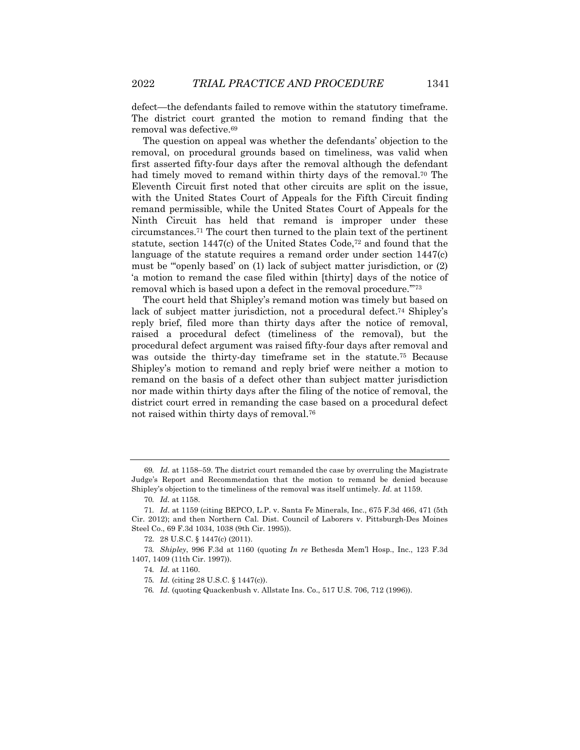defect—the defendants failed to remove within the statutory timeframe. The district court granted the motion to remand finding that the removal was defective.69

The question on appeal was whether the defendants' objection to the removal, on procedural grounds based on timeliness, was valid when first asserted fifty-four days after the removal although the defendant had timely moved to remand within thirty days of the removal.<sup>70</sup> The Eleventh Circuit first noted that other circuits are split on the issue, with the United States Court of Appeals for the Fifth Circuit finding remand permissible, while the United States Court of Appeals for the Ninth Circuit has held that remand is improper under these circumstances.71 The court then turned to the plain text of the pertinent statute, section 1447(c) of the United States Code,72 and found that the language of the statute requires a remand order under section 1447(c) must be "'openly based' on (1) lack of subject matter jurisdiction, or (2) 'a motion to remand the case filed within [thirty] days of the notice of removal which is based upon a defect in the removal procedure.'"73

The court held that Shipley's remand motion was timely but based on lack of subject matter jurisdiction, not a procedural defect.<sup>74</sup> Shipley's reply brief, filed more than thirty days after the notice of removal, raised a procedural defect (timeliness of the removal), but the procedural defect argument was raised fifty-four days after removal and was outside the thirty-day timeframe set in the statute.75 Because Shipley's motion to remand and reply brief were neither a motion to remand on the basis of a defect other than subject matter jurisdiction nor made within thirty days after the filing of the notice of removal, the district court erred in remanding the case based on a procedural defect not raised within thirty days of removal.76

<sup>69</sup>*. Id.* at 1158–59. The district court remanded the case by overruling the Magistrate Judge's Report and Recommendation that the motion to remand be denied because Shipley's objection to the timeliness of the removal was itself untimely. *Id.* at 1159.

<sup>70</sup>*. Id.* at 1158.

<sup>71</sup>*. Id*. at 1159 (citing BEPCO, L.P. v. Santa Fe Minerals, Inc., 675 F.3d 466, 471 (5th Cir. 2012); and then Northern Cal. Dist. Council of Laborers v. Pittsburgh-Des Moines Steel Co., 69 F.3d 1034, 1038 (9th Cir. 1995)).

<sup>72.</sup> 28 U.S.C. § 1447(c) (2011).

<sup>73</sup>*. Shipley*, 996 F.3d at 1160 (quoting *In re* Bethesda Mem'l Hosp., Inc., 123 F.3d 1407, 1409 (11th Cir. 1997)).

<sup>74</sup>*. Id.* at 1160.

<sup>75</sup>*. Id.* (citing 28 U.S.C. § 1447(c)).

<sup>76</sup>*. Id.* (quoting Quackenbush v. Allstate Ins. Co., 517 U.S. 706, 712 (1996)).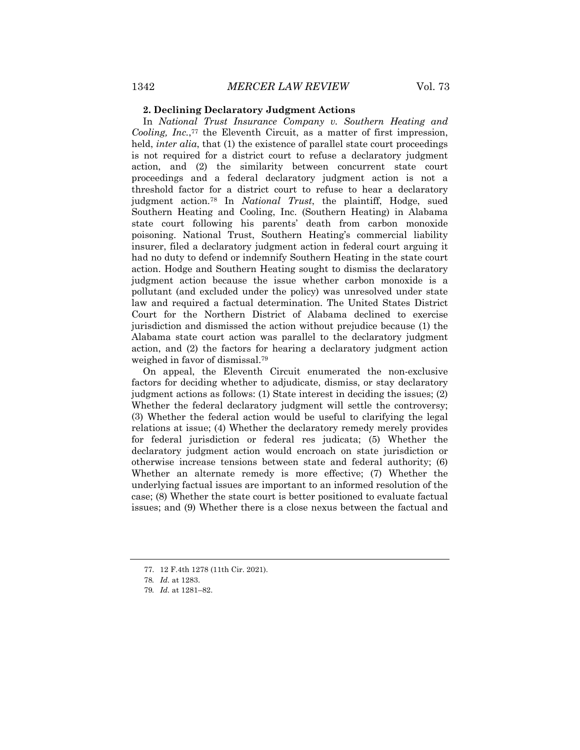### **2. Declining Declaratory Judgment Actions**

In *National Trust Insurance Company v. Southern Heating and Cooling, Inc.*,77 the Eleventh Circuit, as a matter of first impression, held, *inter alia*, that (1) the existence of parallel state court proceedings is not required for a district court to refuse a declaratory judgment action, and (2) the similarity between concurrent state court proceedings and a federal declaratory judgment action is not a threshold factor for a district court to refuse to hear a declaratory judgment action.78 In *National Trust*, the plaintiff, Hodge, sued Southern Heating and Cooling, Inc. (Southern Heating) in Alabama state court following his parents' death from carbon monoxide poisoning. National Trust, Southern Heating's commercial liability insurer, filed a declaratory judgment action in federal court arguing it had no duty to defend or indemnify Southern Heating in the state court action. Hodge and Southern Heating sought to dismiss the declaratory judgment action because the issue whether carbon monoxide is a pollutant (and excluded under the policy) was unresolved under state law and required a factual determination. The United States District Court for the Northern District of Alabama declined to exercise jurisdiction and dismissed the action without prejudice because (1) the Alabama state court action was parallel to the declaratory judgment action, and (2) the factors for hearing a declaratory judgment action weighed in favor of dismissal.79

On appeal, the Eleventh Circuit enumerated the non-exclusive factors for deciding whether to adjudicate, dismiss, or stay declaratory judgment actions as follows: (1) State interest in deciding the issues; (2) Whether the federal declaratory judgment will settle the controversy; (3) Whether the federal action would be useful to clarifying the legal relations at issue; (4) Whether the declaratory remedy merely provides for federal jurisdiction or federal res judicata; (5) Whether the declaratory judgment action would encroach on state jurisdiction or otherwise increase tensions between state and federal authority; (6) Whether an alternate remedy is more effective; (7) Whether the underlying factual issues are important to an informed resolution of the case; (8) Whether the state court is better positioned to evaluate factual issues; and (9) Whether there is a close nexus between the factual and

<sup>77.</sup> 12 F.4th 1278 (11th Cir. 2021).

<sup>78</sup>*. Id.* at 1283.

<sup>79</sup>*. Id.* at 1281–82.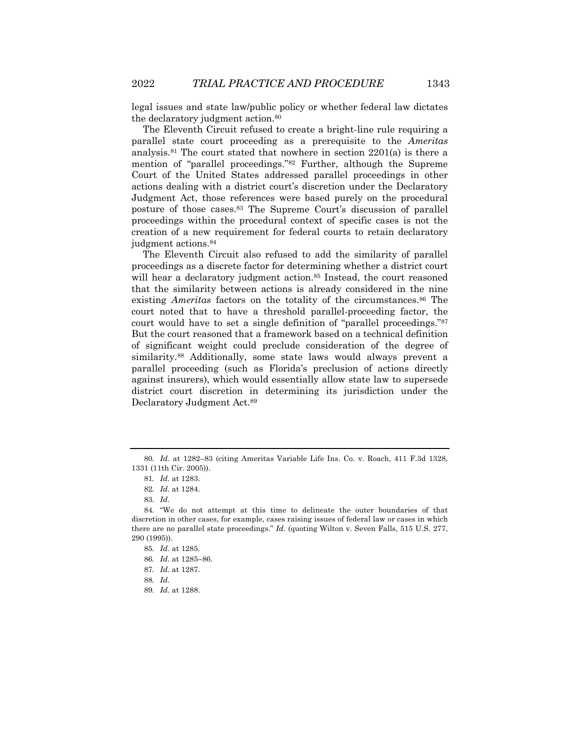legal issues and state law/public policy or whether federal law dictates the declaratory judgment action.80

The Eleventh Circuit refused to create a bright-line rule requiring a parallel state court proceeding as a prerequisite to the *Ameritas* analysis.<sup>81</sup> The court stated that nowhere in section  $2201(a)$  is there a mention of "parallel proceedings."82 Further, although the Supreme Court of the United States addressed parallel proceedings in other actions dealing with a district court's discretion under the Declaratory Judgment Act, those references were based purely on the procedural posture of those cases.83 The Supreme Court's discussion of parallel proceedings within the procedural context of specific cases is not the creation of a new requirement for federal courts to retain declaratory judgment actions.84

The Eleventh Circuit also refused to add the similarity of parallel proceedings as a discrete factor for determining whether a district court will hear a declaratory judgment action.<sup>85</sup> Instead, the court reasoned that the similarity between actions is already considered in the nine existing *Ameritas* factors on the totality of the circumstances.<sup>86</sup> The court noted that to have a threshold parallel-proceeding factor, the court would have to set a single definition of "parallel proceedings."87 But the court reasoned that a framework based on a technical definition of significant weight could preclude consideration of the degree of similarity.88 Additionally, some state laws would always prevent a parallel proceeding (such as Florida's preclusion of actions directly against insurers), which would essentially allow state law to supersede district court discretion in determining its jurisdiction under the Declaratory Judgment Act.89

<sup>80</sup>*. Id.* at 1282–83 (citing Ameritas Variable Life Ins. Co. v. Roach, 411 F.3d 1328, 1331 (11th Cir. 2005)).

<sup>81</sup>*. Id.* at 1283.

<sup>82</sup>*. Id.* at 1284.

<sup>83</sup>*. Id*.

<sup>84.</sup> "We do not attempt at this time to delineate the outer boundaries of that discretion in other cases, for example, cases raising issues of federal law or cases in which there are no parallel state proceedings." *Id*. (quoting Wilton v. Seven Falls, 515 U.S. 277, 290 (1995)).

<sup>85</sup>*. Id*. at 1285.

<sup>86</sup>*. Id*. at 1285–86.

<sup>87</sup>*. Id.* at 1287.

<sup>88</sup>*. Id.*

<sup>89</sup>*. Id.* at 1288.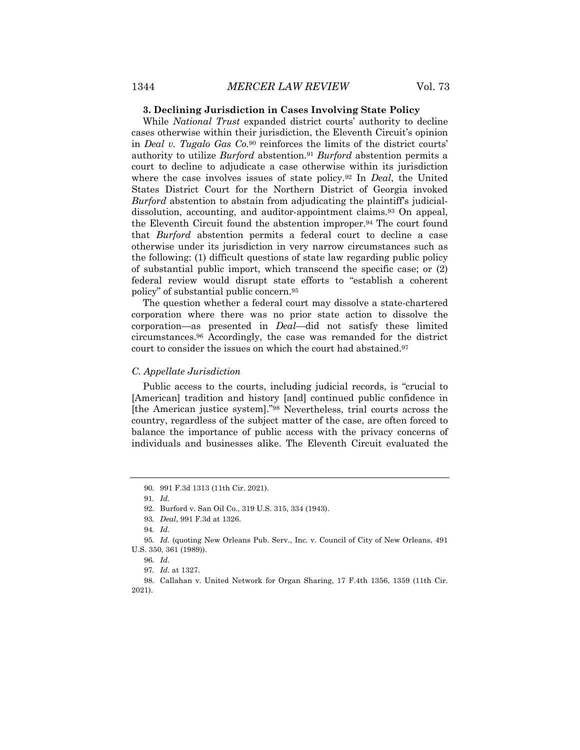#### **3. Declining Jurisdiction in Cases Involving State Policy**

While *National Trust* expanded district courts' authority to decline cases otherwise within their jurisdiction, the Eleventh Circuit's opinion in *Deal v. Tugalo Gas Co.*<sup>90</sup> reinforces the limits of the district courts' authority to utilize *Burford* abstention.91 *Burford* abstention permits a court to decline to adjudicate a case otherwise within its jurisdiction where the case involves issues of state policy.92 In *Deal*, the United States District Court for the Northern District of Georgia invoked *Burford* abstention to abstain from adjudicating the plaintiff's judicialdissolution, accounting, and auditor-appointment claims.93 On appeal, the Eleventh Circuit found the abstention improper.94 The court found that *Burford* abstention permits a federal court to decline a case otherwise under its jurisdiction in very narrow circumstances such as the following: (1) difficult questions of state law regarding public policy of substantial public import, which transcend the specific case; or (2) federal review would disrupt state efforts to "establish a coherent policy" of substantial public concern.95

The question whether a federal court may dissolve a state-chartered corporation where there was no prior state action to dissolve the corporation—as presented in *Deal*—did not satisfy these limited circumstances.96 Accordingly, the case was remanded for the district court to consider the issues on which the court had abstained.<sup>97</sup>

### *C. Appellate Jurisdiction*

Public access to the courts, including judicial records, is "crucial to [American] tradition and history [and] continued public confidence in [the American justice system]."98 Nevertheless, trial courts across the country, regardless of the subject matter of the case, are often forced to balance the importance of public access with the privacy concerns of individuals and businesses alike. The Eleventh Circuit evaluated the

<sup>90.</sup> 991 F.3d 1313 (11th Cir. 2021).

<sup>91</sup>*. Id.*

<sup>92.</sup> Burford v. San Oil Co., 319 U.S. 315, 334 (1943).

<sup>93</sup>*. Deal*, 991 F.3d at 1326.

<sup>94</sup>*. Id.*

<sup>95</sup>*. Id.* (quoting New Orleans Pub. Serv., Inc. v. Council of City of New Orleans, 491 U.S. 350, 361 (1989)).

<sup>96</sup>*. Id.*

<sup>97</sup>*. Id.* at 1327.

<sup>98.</sup> Callahan v. United Network for Organ Sharing, 17 F.4th 1356, 1359 (11th Cir. 2021).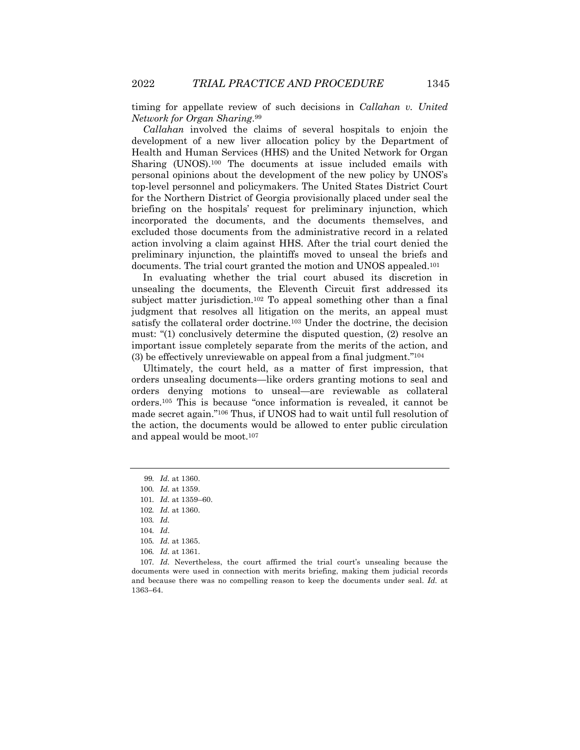timing for appellate review of such decisions in *Callahan v. United Network for Organ Sharing*.99

*Callahan* involved the claims of several hospitals to enjoin the development of a new liver allocation policy by the Department of Health and Human Services (HHS) and the United Network for Organ Sharing (UNOS).100 The documents at issue included emails with personal opinions about the development of the new policy by UNOS's top-level personnel and policymakers. The United States District Court for the Northern District of Georgia provisionally placed under seal the briefing on the hospitals' request for preliminary injunction, which incorporated the documents, and the documents themselves, and excluded those documents from the administrative record in a related action involving a claim against HHS. After the trial court denied the preliminary injunction, the plaintiffs moved to unseal the briefs and documents. The trial court granted the motion and UNOS appealed.101

In evaluating whether the trial court abused its discretion in unsealing the documents, the Eleventh Circuit first addressed its subject matter jurisdiction.102 To appeal something other than a final judgment that resolves all litigation on the merits, an appeal must satisfy the collateral order doctrine.103 Under the doctrine, the decision must: "(1) conclusively determine the disputed question, (2) resolve an important issue completely separate from the merits of the action, and (3) be effectively unreviewable on appeal from a final judgment."104

Ultimately, the court held, as a matter of first impression, that orders unsealing documents—like orders granting motions to seal and orders denying motions to unseal—are reviewable as collateral orders.105 This is because "once information is revealed, it cannot be made secret again."106 Thus, if UNOS had to wait until full resolution of the action, the documents would be allowed to enter public circulation and appeal would be moot.107

<sup>99</sup>*. Id.* at 1360.

<sup>100</sup>*. Id.* at 1359.

<sup>101</sup>*. Id.* at 1359–60.

<sup>102</sup>*. Id.* at 1360.

<sup>103</sup>*. Id.*

<sup>104</sup>*. Id*.

<sup>105</sup>*. Id.* at 1365.

<sup>106</sup>*. Id.* at 1361.

<sup>107</sup>*. Id.* Nevertheless, the court affirmed the trial court's unsealing because the documents were used in connection with merits briefing, making them judicial records and because there was no compelling reason to keep the documents under seal. *Id.* at 1363–64.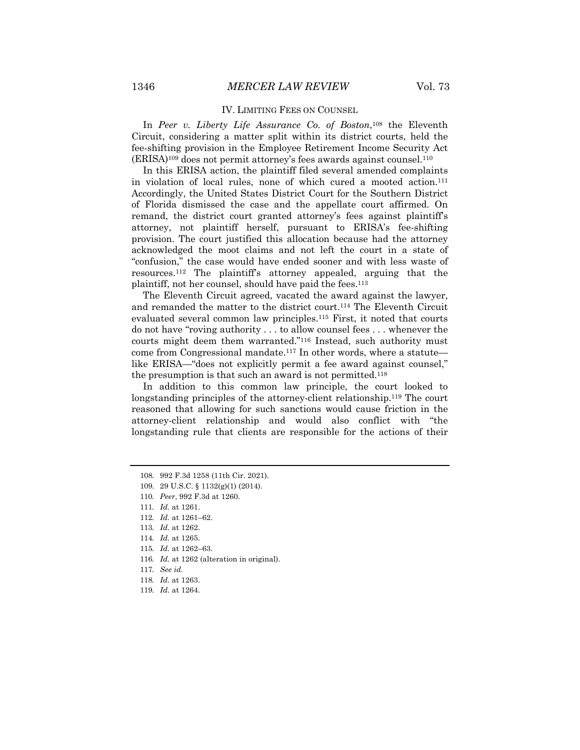#### IV. LIMITING FEES ON COUNSEL

In *Peer v. Liberty Life Assurance Co. of Boston*,108 the Eleventh Circuit, considering a matter split within its district courts, held the fee-shifting provision in the Employee Retirement Income Security Act  $(ERISA)^{109}$  does not permit attorney's fees awards against counsel.<sup>110</sup>

In this ERISA action, the plaintiff filed several amended complaints in violation of local rules, none of which cured a mooted action.111 Accordingly, the United States District Court for the Southern District of Florida dismissed the case and the appellate court affirmed. On remand, the district court granted attorney's fees against plaintiff's attorney, not plaintiff herself, pursuant to ERISA's fee-shifting provision. The court justified this allocation because had the attorney acknowledged the moot claims and not left the court in a state of "confusion," the case would have ended sooner and with less waste of resources.112 The plaintiff's attorney appealed, arguing that the plaintiff, not her counsel, should have paid the fees.113

The Eleventh Circuit agreed, vacated the award against the lawyer, and remanded the matter to the district court.114 The Eleventh Circuit evaluated several common law principles.115 First, it noted that courts do not have "roving authority . . . to allow counsel fees . . . whenever the courts might deem them warranted."116 Instead, such authority must come from Congressional mandate.<sup>117</sup> In other words, where a statute like ERISA—"does not explicitly permit a fee award against counsel," the presumption is that such an award is not permitted.118

In addition to this common law principle, the court looked to longstanding principles of the attorney-client relationship.<sup>119</sup> The court reasoned that allowing for such sanctions would cause friction in the attorney-client relationship and would also conflict with "the longstanding rule that clients are responsible for the actions of their

<sup>108.</sup> 992 F.3d 1258 (11th Cir. 2021).

<sup>109.</sup> 29 U.S.C. § 1132(g)(1) (2014).

<sup>110</sup>*. Peer*, 992 F.3d at 1260.

<sup>111</sup>*. Id.* at 1261.

<sup>112</sup>*. Id.* at 1261–62.

<sup>113</sup>*. Id.* at 1262.

<sup>114</sup>*. Id.* at 1265.

<sup>115</sup>*. Id.* at 1262–63.

<sup>116</sup>*. Id.* at 1262 (alteration in original).

<sup>117</sup>*. See id.*

<sup>118</sup>*. Id.* at 1263.

<sup>119</sup>*. Id.* at 1264.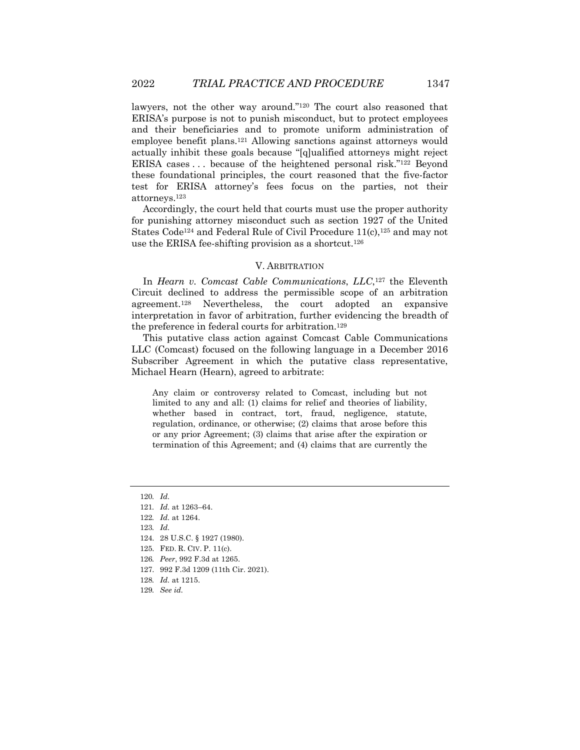lawyers, not the other way around."120 The court also reasoned that ERISA's purpose is not to punish misconduct, but to protect employees and their beneficiaries and to promote uniform administration of employee benefit plans.121 Allowing sanctions against attorneys would actually inhibit these goals because "[q]ualified attorneys might reject ERISA cases . . . because of the heightened personal risk."122 Beyond these foundational principles, the court reasoned that the five-factor test for ERISA attorney's fees focus on the parties, not their attorneys.123

Accordingly, the court held that courts must use the proper authority for punishing attorney misconduct such as section 1927 of the United States Code<sup>124</sup> and Federal Rule of Civil Procedure  $11(c)$ ,  $125$  and may not use the ERISA fee-shifting provision as a shortcut.126

## V. ARBITRATION

In *Hearn v. Comcast Cable Communications*, *LLC*,127 the Eleventh Circuit declined to address the permissible scope of an arbitration agreement.128 Nevertheless, the court adopted an expansive interpretation in favor of arbitration, further evidencing the breadth of the preference in federal courts for arbitration.129

This putative class action against Comcast Cable Communications LLC (Comcast) focused on the following language in a December 2016 Subscriber Agreement in which the putative class representative, Michael Hearn (Hearn), agreed to arbitrate:

Any claim or controversy related to Comcast, including but not limited to any and all: (1) claims for relief and theories of liability, whether based in contract, tort, fraud, negligence, statute, regulation, ordinance, or otherwise; (2) claims that arose before this or any prior Agreement; (3) claims that arise after the expiration or termination of this Agreement; and (4) claims that are currently the

127. 992 F.3d 1209 (11th Cir. 2021).

<sup>120</sup>*. Id.*

<sup>121</sup>*. Id.* at 1263–64.

<sup>122</sup>*. Id.* at 1264.

<sup>123</sup>*. Id.*

<sup>124.</sup> 28 U.S.C. § 1927 (1980).

<sup>125.</sup> FED. R. CIV. P. 11(c).

<sup>126</sup>*. Peer*, 992 F.3d at 1265.

<sup>128</sup>*. Id.* at 1215.

<sup>129</sup>*. See id.*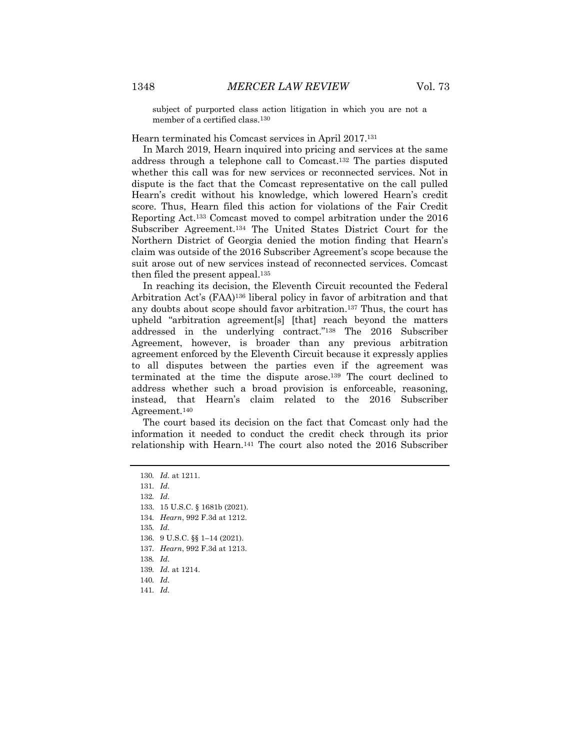subject of purported class action litigation in which you are not a member of a certified class.130

Hearn terminated his Comcast services in April 2017.131

In March 2019, Hearn inquired into pricing and services at the same address through a telephone call to Comcast.132 The parties disputed whether this call was for new services or reconnected services. Not in dispute is the fact that the Comcast representative on the call pulled Hearn's credit without his knowledge, which lowered Hearn's credit score. Thus, Hearn filed this action for violations of the Fair Credit Reporting Act.133 Comcast moved to compel arbitration under the 2016 Subscriber Agreement.134 The United States District Court for the Northern District of Georgia denied the motion finding that Hearn's claim was outside of the 2016 Subscriber Agreement's scope because the suit arose out of new services instead of reconnected services. Comcast then filed the present appeal.<sup>135</sup>

In reaching its decision, the Eleventh Circuit recounted the Federal Arbitration Act's (FAA)136 liberal policy in favor of arbitration and that any doubts about scope should favor arbitration.137 Thus, the court has upheld "arbitration agreement[s] [that] reach beyond the matters addressed in the underlying contract."138 The 2016 Subscriber Agreement, however, is broader than any previous arbitration agreement enforced by the Eleventh Circuit because it expressly applies to all disputes between the parties even if the agreement was terminated at the time the dispute arose.139 The court declined to address whether such a broad provision is enforceable, reasoning, instead, that Hearn's claim related to the 2016 Subscriber Agreement.140

The court based its decision on the fact that Comcast only had the information it needed to conduct the credit check through its prior relationship with Hearn.141 The court also noted the 2016 Subscriber

131*. Id.*

132*. Id.*

- 133. 15 U.S.C. § 1681b (2021).
- 134*. Hearn*, 992 F.3d at 1212.

135*. Id.*

- 136. 9 U.S.C. §§ 1–14 (2021).
- 137*. Hearn*, 992 F.3d at 1213.

138*. Id.*

- 139*. Id.* at 1214.
- 140*. Id.*
- 141*. Id.*

<sup>130</sup>*. Id.* at 1211.